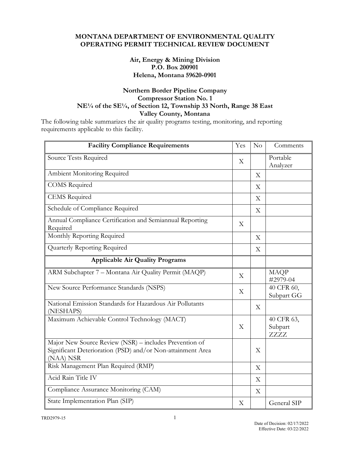# **MONTANA DEPARTMENT OF ENVIRONMENTAL QUALITY OPERATING PERMIT TECHNICAL REVIEW DOCUMENT**

# **Air, Energy & Mining Division P.O. Box 200901 Helena, Montana 59620-0901**

# **Northern Border Pipeline Company Compressor Station No. 1 NE¼ of the SE¼, of Section 12, Township 33 North, Range 38 East Valley County, Montana**

The following table summarizes the air quality programs testing, monitoring, and reporting requirements applicable to this facility.

| <b>Facility Compliance Requirements</b>                                                                                           | Yes | No | Comments                      |
|-----------------------------------------------------------------------------------------------------------------------------------|-----|----|-------------------------------|
| Source Tests Required                                                                                                             |     |    | Portable<br>Analyzer          |
| Ambient Monitoring Required                                                                                                       |     | X  |                               |
| <b>COMS</b> Required                                                                                                              |     | X  |                               |
| CEMS Required                                                                                                                     |     | X  |                               |
| Schedule of Compliance Required                                                                                                   |     | X  |                               |
| Annual Compliance Certification and Semiannual Reporting<br>Required                                                              | X   |    |                               |
| Monthly Reporting Required                                                                                                        |     | X  |                               |
| Quarterly Reporting Required                                                                                                      |     | X  |                               |
| <b>Applicable Air Quality Programs</b>                                                                                            |     |    |                               |
| ARM Subchapter 7 - Montana Air Quality Permit (MAQP)                                                                              | X   |    | <b>MAQP</b><br>#2979-04       |
| New Source Performance Standards (NSPS)                                                                                           | X   |    | 40 CFR 60,<br>Subpart GG      |
| National Emission Standards for Hazardous Air Pollutants<br>(NESHAPS)                                                             |     | X  |                               |
| Maximum Achievable Control Technology (MACT)                                                                                      | X   |    | 40 CFR 63,<br>Subpart<br>ZZZZ |
| Major New Source Review (NSR) - includes Prevention of<br>Significant Deterioration (PSD) and/or Non-attainment Area<br>(NAA) NSR |     | X  |                               |
| Risk Management Plan Required (RMP)                                                                                               |     | X  |                               |
| Acid Rain Title IV                                                                                                                |     | X  |                               |
| Compliance Assurance Monitoring (CAM)                                                                                             |     | X  |                               |
| State Implementation Plan (SIP)                                                                                                   | X   |    | General SIP                   |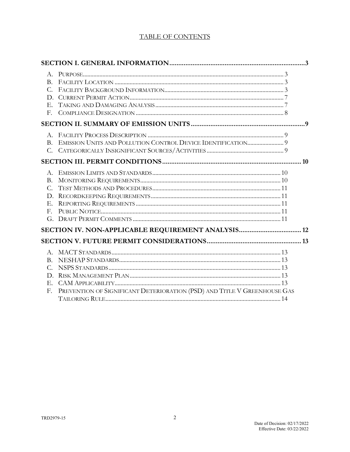# **TABLE OF CONTENTS**

| $C_{\cdot}$<br>$E_{\rm{m}}$<br>$F_{\cdot}$ |                                                                          |  |
|--------------------------------------------|--------------------------------------------------------------------------|--|
|                                            |                                                                          |  |
|                                            |                                                                          |  |
|                                            |                                                                          |  |
| B.<br>$C_{\cdot}$<br>Е.<br>$F_{\perp}$     |                                                                          |  |
|                                            | SECTION IV. NON-APPLICABLE REQUIREMENT ANALYSIS 12                       |  |
|                                            |                                                                          |  |
| $B_{-}$<br>$C_{\cdot}$<br>D.<br>E.         |                                                                          |  |
| F.                                         | PREVENTION OF SIGNIFICANT DETERIORATION (PSD) AND TITLE V GREENHOUSE GAS |  |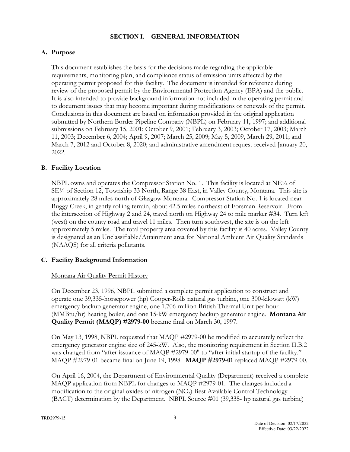#### **SECTION I. GENERAL INFORMATION**

# **A. Purpose**

This document establishes the basis for the decisions made regarding the applicable requirements, monitoring plan, and compliance status of emission units affected by the operating permit proposed for this facility. The document is intended for reference during review of the proposed permit by the Environmental Protection Agency (EPA) and the public. It is also intended to provide background information not included in the operating permit and to document issues that may become important during modifications or renewals of the permit. Conclusions in this document are based on information provided in the original application submitted by Northern Border Pipeline Company (NBPL) on February 11, 1997; and additional submissions on February 15, 2001; October 9, 2001; February 3, 2003; October 17, 2003; March 11, 2003; December 6, 2004; April 9, 2007; March 25, 2009; May 5, 2009, March 29, 2011; and March 7, 2012 and October 8, 2020; and administrative amendment request received January 20, 2022.

# **B. Facility Location**

NBPL owns and operates the Compressor Station No. 1. This facility is located at  $NE<sup>1/4</sup>$  of SE¼ of Section 12, Township 33 North, Range 38 East, in Valley County, Montana. This site is approximately 28 miles north of Glasgow Montana. Compressor Station No. 1 is located near Buggy Creek, in gently rolling terrain, about 42.5 miles northeast of Forsman Reservoir. From the intersection of Highway 2 and 24, travel north on Highway 24 to mile marker #34. Turn left (west) on the county road and travel 11 miles. Then turn southwest, the site is on the left approximately 5 miles. The total property area covered by this facility is 40 acres. Valley County is designated as an Unclassifiable/Attainment area for National Ambient Air Quality Standards (NAAQS) for all criteria pollutants.

# **C. Facility Background Information**

# Montana Air Quality Permit History

On December 23, 1996, NBPL submitted a complete permit application to construct and operate one 39,335-horsepower (hp) Cooper-Rolls natural gas turbine, one 300-kilowatt (kW) emergency backup generator engine, one 1.706-million British Thermal Unit per hour (MMBtu/hr) heating boiler, and one 15-kW emergency backup generator engine. **Montana Air Quality Permit (MAQP) #2979-00** became final on March 30, 1997.

On May 13, 1998, NBPL requested that MAQP #2979-00 be modified to accurately reflect the emergency generator engine size of 245-kW. Also, the monitoring requirement in Section II.B.2 was changed from "after issuance of MAQP #2979-00" to "after initial startup of the facility." MAQP #2979-01 became final on June 19, 1998. **MAQP #2979-01** replaced MAQP #2979-00.

On April 16, 2004, the Department of Environmental Quality (Department) received a complete MAQP application from NBPL for changes to MAQP #2979-01. The changes included a modification to the original oxides of nitrogen (NOx) Best Available Control Technology (BACT) determination by the Department. NBPL Source #01 (39,335- hp natural gas turbine)

3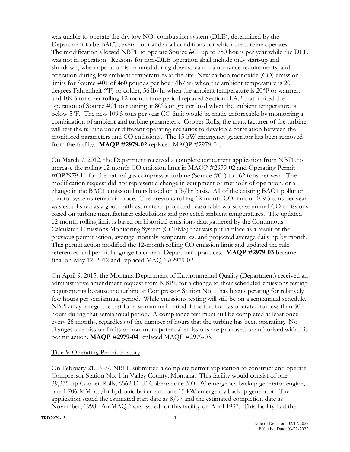was unable to operate the dry low  $NO<sub>x</sub>$  combustion system (DLE), determined by the Department to be BACT, every hour and at all conditions for which the turbine operates. The modification allowed NBPL to operate Source #01 up to 750 hours per year while the DLE was not in operation. Reasons for non-DLE operation shall include only start-up and shutdown, when operation is required during downstream maintenance requirements, and operation during low ambient temperatures at the site. New carbon monoxide (CO) emission limits for Source #01 of 460 pounds per hour (lb/hr) when the ambient temperature is 20 degrees Fahrenheit (°F) or colder, 56 lb/hr when the ambient temperature is 20°F or warmer, and 109.5 tons per rolling 12-month time period replaced Section II.A.2 that limited the operation of Source #01 to running at 80% or greater load when the ambient temperature is below 5°F. The new 109.5 tons per year CO limit would be made enforceable by monitoring a combination of ambient and turbine parameters. Cooper-Rolls, the manufacturer of the turbine, will test the turbine under different operating scenarios to develop a correlation between the monitored parameters and CO emissions. The 15-kW emergency generator has been removed from the facility. **MAQP #2979-02** replaced MAQP #2979-01.

On March 7, 2012, the Department received a complete concurrent application from NBPL to increase the rolling 12-month CO emission limit in MAQP #2979-02 and Operating Permit #OP2979-11 for the natural gas compressor turbine (Source #01) to 162 tons per year. The modification request did not represent a change in equipment or methods of operation, or a change in the BACT emission limits based on a lb/hr basis. All of the existing BACT pollution control systems remain in place. The previous rolling 12-month CO limit of 109.5 tons per year was established as a good-faith estimate of projected reasonable worst-case annual CO emissions based on turbine manufacturer calculations and projected ambient temperatures. The updated 12-month rolling limit is based on historical emissions data gathered by the Continuous Calculated Emissions Monitoring System (CCEMS) that was put in place as a result of the previous permit action, average monthly temperatures, and projected average daily hp by month. This permit action modified the 12-month rolling CO emission limit and updated the rule references and permit language to current Department practices. **MAQP #2979-03** became final on May 12, 2012 and replaced MAQP #2979-02.

On April 9, 2015, the Montana Department of Environmental Quality (Department) received an administrative amendment request from NBPL for a change to their scheduled emissions testing requirements because the turbine at Compressor Station No. 1 has been operating for relatively few hours per semiannual period. While emissions testing will still be on a semiannual schedule, NBPL may forego the test for a semiannual period if the turbine has operated for less than 500 hours during that semiannual period. A compliance test must still be completed at least once every 26 months, regardless of the number of hours that the turbine has been operating. No changes to emission limits or maximum potential emissions are proposed or authorized with this permit action. **MAQP #2979-04** replaced MAQP #2979-03.

# Title V Operating Permit History

On February 21, 1997, NBPL submitted a complete permit application to construct and operate Compressor Station No. 1 in Valley County, Montana. This facility would consist of one 39,335-hp Cooper-Rolls, 6562-DLE Coberra; one 300-kW emergency backup generator engine; one 1.706-MMBtu/hr hydronic boiler; and one 15-kW emergency backup generator. The application stated the estimated start date as  $8/97$  and the estimated completion date as November, 1998. An MAQP was issued for this facility on April 1997. This facility had the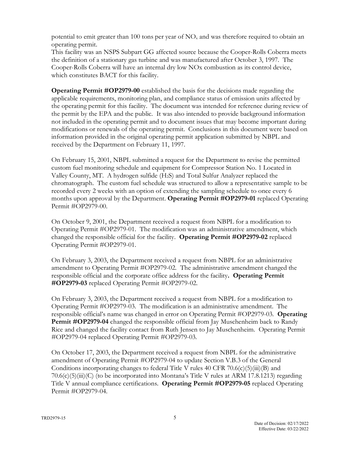potential to emit greater than 100 tons per year of  $NO<sub>x</sub>$  and was therefore required to obtain an operating permit.

This facility was an NSPS Subpart GG affected source because the Cooper-Rolls Coberra meets the definition of a stationary gas turbine and was manufactured after October 3, 1997. The Cooper-Rolls Coberra will have an internal dry low NOx combustion as its control device, which constitutes BACT for this facility.

**Operating Permit #OP2979-00** established the basis for the decisions made regarding the applicable requirements, monitoring plan, and compliance status of emission units affected by the operating permit for this facility. The document was intended for reference during review of the permit by the EPA and the public. It was also intended to provide background information not included in the operating permit and to document issues that may become important during modifications or renewals of the operating permit. Conclusions in this document were based on information provided in the original operating permit application submitted by NBPL and received by the Department on February 11, 1997.

On February 15, 2001, NBPL submitted a request for the Department to revise the permitted custom fuel monitoring schedule and equipment for Compressor Station No. 1 Located in Valley County, MT. A hydrogen sulfide (H2S) and Total Sulfur Analyzer replaced the chromatograph. The custom fuel schedule was structured to allow a representative sample to be recorded every 2 weeks with an option of extending the sampling schedule to once every 6 months upon approval by the Department. **Operating Permit #OP2979-01** replaced Operating Permit #OP2979-00.

On October 9, 2001, the Department received a request from NBPL for a modification to Operating Permit #OP2979-01. The modification was an administrative amendment, which changed the responsible official for the facility. **Operating Permit #OP2979-02** replaced Operating Permit #OP2979-01.

On February 3, 2003, the Department received a request from NBPL for an administrative amendment to Operating Permit #OP2979-02. The administrative amendment changed the responsible official and the corporate office address for the facility**. Operating Permit #OP2979-03** replaced Operating Permit #OP2979-02.

On February 3, 2003, the Department received a request from NBPL for a modification to Operating Permit #OP2979-03. The modification is an administrative amendment. The responsible official's name was changed in error on Operating Permit #OP2979-03. **Operating Permit #OP2979-04** changed the responsible official from Jay Muschenheim back to Randy Rice and changed the facility contact from Ruth Jensen to Jay Muschenheim. Operating Permit #OP2979-04 replaced Operating Permit #OP2979-03.

On October 17, 2003, the Department received a request from NBPL for the administrative amendment of Operating Permit #OP2979-04 to update Section V.B.3 of the General Conditions incorporating changes to federal Title V rules 40 CFR 70.6(c)(5)(iii)(B) and 70.6(c)(5)(iii)(C) (to be incorporated into Montana's Title V rules at ARM 17.8.1213) regarding Title V annual compliance certifications. **Operating Permit #OP2979-05** replaced Operating Permit #OP2979-04.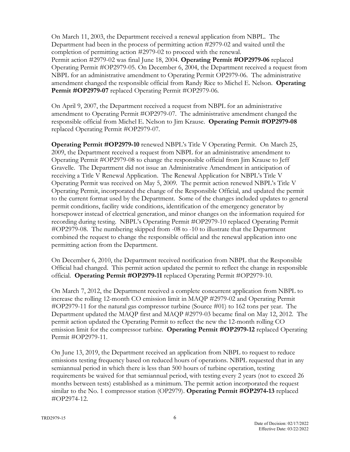On March 11, 2003, the Department received a renewal application from NBPL. The Department had been in the process of permitting action #2979-02 and waited until the completion of permitting action #2979-02 to proceed with the renewal. Permit action #2979-02 was final June 18, 2004. **Operating Permit #OP2979-06** replaced Operating Permit #OP2979-05. On December 6, 2004, the Department received a request from NBPL for an administrative amendment to Operating Permit OP2979-06. The administrative amendment changed the responsible official from Randy Rice to Michel E. Nelson. **Operating**  Permit #OP2979-07 replaced Operating Permit #OP2979-06.

On April 9, 2007, the Department received a request from NBPL for an administrative amendment to Operating Permit #OP2979-07. The administrative amendment changed the responsible official from Michel E. Nelson to Jim Krause. **Operating Permit #OP2979-08**  replaced Operating Permit #OP2979-07.

**Operating Permit #OP2979-10** renewed NBPL's Title V Operating Permit. On March 25, 2009, the Department received a request from NBPL for an administrative amendment to Operating Permit #OP2979-08 to change the responsible official from Jim Krause to Jeff Gravelle. The Department did not issue an Administrative Amendment in anticipation of receiving a Title V Renewal Application. The Renewal Application for NBPL's Title V Operating Permit was received on May 5, 2009. The permit action renewed NBPL's Title V Operating Permit, incorporated the change of the Responsible Official, and updated the permit to the current format used by the Department. Some of the changes included updates to general permit conditions, facility wide conditions, identification of the emergency generator by horsepower instead of electrical generation, and minor changes on the information required for recording during testing. NBPL's Operating Permit #OP2979-10 replaced Operating Permit #OP2979-08. The numbering skipped from -08 to -10 to illustrate that the Department combined the request to change the responsible official and the renewal application into one permitting action from the Department.

On December 6, 2010, the Department received notification from NBPL that the Responsible Official had changed. This permit action updated the permit to reflect the change in responsible official. **Operating Permit #OP2979-11** replaced Operating Permit #OP2979-10.

On March 7, 2012, the Department received a complete concurrent application from NBPL to increase the rolling 12-month CO emission limit in MAQP #2979-02 and Operating Permit #OP2979-11 for the natural gas compressor turbine (Source #01) to 162 tons per year. The Department updated the MAQP first and MAQP #2979-03 became final on May 12, 2012. The permit action updated the Operating Permit to reflect the new the 12-month rolling CO emission limit for the compressor turbine. **Operating Permit #OP2979-12** replaced Operating Permit #OP2979-11.

On June 13, 2019, the Department received an application from NBPL to request to reduce emissions testing frequency based on reduced hours of operations. NBPL requested that in any semiannual period in which there is less than 500 hours of turbine operation, testing requirements be waived for that semiannual period, with testing every 2 years (not to exceed 26 months between tests) established as a minimum. The permit action incorporated the request similar to the No. 1 compressor station (OP2979). **Operating Permit #OP2974-13** replaced #OP2974-12.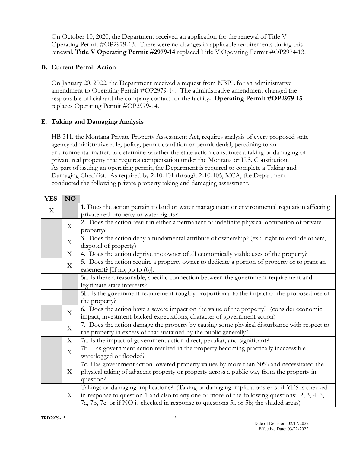On October 10, 2020, the Department received an application for the renewal of Title V Operating Permit #OP2979-13. There were no changes in applicable requirements during this renewal. **Title V Operating Permit #2979-14** replaced Title V Operating Permit #OP2974-13.

# **D. Current Permit Action**

On January 20, 2022, the Department received a request from NBPL for an administrative amendment to Operating Permit #OP2979-14. The administrative amendment changed the responsible official and the company contact for the facility**. Operating Permit #OP2979-15** replaces Operating Permit #OP2979-14.

# **E. Taking and Damaging Analysis**

HB 311, the Montana Private Property Assessment Act, requires analysis of every proposed state agency administrative rule, policy, permit condition or permit denial, pertaining to an environmental matter, to determine whether the state action constitutes a taking or damaging of private real property that requires compensation under the Montana or U.S. Constitution. As part of issuing an operating permit, the Department is required to complete a Taking and Damaging Checklist. As required by 2-10-101 through 2-10-105, MCA, the Department conducted the following private property taking and damaging assessment.

| <b>YES</b>                | NO                        |                                                                                               |
|---------------------------|---------------------------|-----------------------------------------------------------------------------------------------|
| $\boldsymbol{\mathrm{X}}$ |                           | 1. Does the action pertain to land or water management or environmental regulation affecting  |
|                           |                           | private real property or water rights?                                                        |
|                           | X                         | 2. Does the action result in either a permanent or indefinite physical occupation of private  |
|                           |                           | property?                                                                                     |
|                           | $\boldsymbol{\mathrm{X}}$ | 3. Does the action deny a fundamental attribute of ownership? (ex.: right to exclude others,  |
|                           |                           | disposal of property)                                                                         |
|                           | X                         | 4. Does the action deprive the owner of all economically viable uses of the property?         |
|                           | X                         | 5. Does the action require a property owner to dedicate a portion of property or to grant an  |
|                           |                           | easement? [If no, go to $(6)$ ].                                                              |
|                           |                           | 5a. Is there a reasonable, specific connection between the government requirement and         |
|                           |                           | legitimate state interests?                                                                   |
|                           |                           | 5b. Is the government requirement roughly proportional to the impact of the proposed use of   |
|                           |                           | the property?                                                                                 |
|                           | X                         | 6. Does the action have a severe impact on the value of the property? (consider economic      |
|                           |                           | impact, investment-backed expectations, character of government action)                       |
|                           | X                         | 7. Does the action damage the property by causing some physical disturbance with respect to   |
|                           |                           | the property in excess of that sustained by the public generally?                             |
|                           | X                         | 7a. Is the impact of government action direct, peculiar, and significant?                     |
|                           | X                         | 7b. Has government action resulted in the property becoming practically inaccessible,         |
|                           |                           | waterlogged or flooded?                                                                       |
|                           |                           | 7c. Has government action lowered property values by more than 30% and necessitated the       |
|                           | X                         | physical taking of adjacent property or property across a public way from the property in     |
|                           |                           | question?                                                                                     |
|                           | X                         | Takings or damaging implications? (Taking or damaging implications exist if YES is checked    |
|                           |                           | in response to question 1 and also to any one or more of the following questions: 2, 3, 4, 6, |
|                           |                           | 7a, 7b, 7c; or if NO is checked in response to questions 5a or 5b; the shaded areas)          |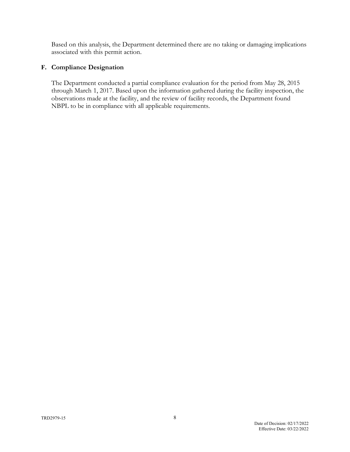Based on this analysis, the Department determined there are no taking or damaging implications associated with this permit action.

# **F. Compliance Designation**

The Department conducted a partial compliance evaluation for the period from May 28, 2015 through March 1, 2017. Based upon the information gathered during the facility inspection, the observations made at the facility, and the review of facility records, the Department found NBPL to be in compliance with all applicable requirements.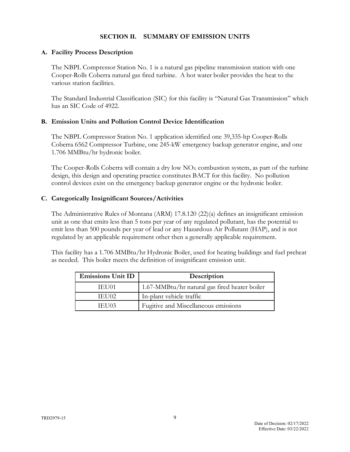#### **SECTION II. SUMMARY OF EMISSION UNITS**

### **A. Facility Process Description**

The NBPL Compressor Station No. 1 is a natural gas pipeline transmission station with one Cooper-Rolls Coberra natural gas fired turbine. A hot water boiler provides the heat to the various station facilities.

The Standard Industrial Classification (SIC) for this facility is "Natural Gas Transmission" which has an SIC Code of 4922.

#### **B. Emission Units and Pollution Control Device Identification**

The NBPL Compressor Station No. 1 application identified one 39,335-hp Cooper-Rolls Coberra 6562 Compressor Turbine, one 245-kW emergency backup generator engine, and one 1.706 MMBtu/hr hydronic boiler.

The Cooper-Rolls Coberra will contain a dry low  $NO<sub>X</sub>$  combustion system, as part of the turbine design, this design and operating practice constitutes BACT for this facility. No pollution control devices exist on the emergency backup generator engine or the hydronic boiler.

#### **C. Categorically Insignificant Sources/Activities**

The Administrative Rules of Montana (ARM) 17.8.120 (22)(a) defines an insignificant emission unit as one that emits less than 5 tons per year of any regulated pollutant, has the potential to emit less than 500 pounds per year of lead or any Hazardous Air Pollutant (HAP), and is not regulated by an applicable requirement other then a generally applicable requirement.

This facility has a 1.706 MMBtu/hr Hydronic Boiler, used for heating buildings and fuel preheat as needed. This boiler meets the definition of insignificant emission unit.

| Emissions Unit ID | Description                                   |
|-------------------|-----------------------------------------------|
| IEH01             | 1.67-MMBtu/hr natural gas fired heater boiler |
| <b>IEH02</b>      | In-plant vehicle traffic                      |
| TELIO3            | Fugitive and Miscellaneous emissions          |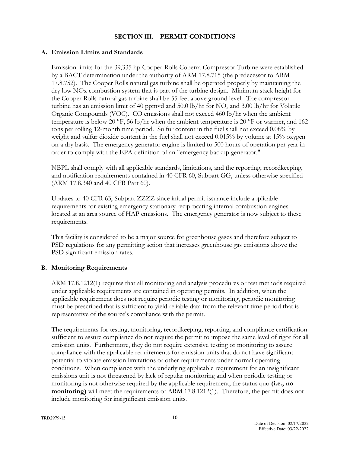### **SECTION III. PERMIT CONDITIONS**

### **A. Emission Limits and Standards**

Emission limits for the 39,335 hp Cooper-Rolls Coberra Compressor Turbine were established by a BACT determination under the authority of ARM 17.8.715 (the predecessor to ARM 17.8.752). The Cooper Rolls natural gas turbine shall be operated properly by maintaining the dry low NOx combustion system that is part of the turbine design. Minimum stack height for the Cooper Rolls natural gas turbine shall be 55 feet above ground level. The compressor turbine has an emission limit of 40 ppmvd and 50.0 lb/hr for  $NO<sub>x</sub>$  and 3.00 lb/hr for Volatile Organic Compounds (VOC). CO emissions shall not exceed 460 lb/hr when the ambient temperature is below 20 °F, 56 lb/hr when the ambient temperature is 20 °F or warmer, and 162 tons per rolling 12-month time period. Sulfur content in the fuel shall not exceed 0.08% by weight and sulfur dioxide content in the fuel shall not exceed 0.015% by volume at 15% oxygen on a dry basis. The emergency generator engine is limited to 500 hours of operation per year in order to comply with the EPA definition of an "emergency backup generator."

NBPL shall comply with all applicable standards, limitations, and the reporting, recordkeeping, and notification requirements contained in 40 CFR 60, Subpart GG, unless otherwise specified (ARM 17.8.340 and 40 CFR Part 60).

Updates to 40 CFR 63, Subpart ZZZZ since initial permit issuance include applicable requirements for existing emergency stationary reciprocating internal combustion engines located at an area source of HAP emissions. The emergency generator is now subject to these requirements.

This facility is considered to be a major source for greenhouse gases and therefore subject to PSD regulations for any permitting action that increases greenhouse gas emissions above the PSD significant emission rates.

# **B. Monitoring Requirements**

ARM 17.8.1212(1) requires that all monitoring and analysis procedures or test methods required under applicable requirements are contained in operating permits. In addition, when the applicable requirement does not require periodic testing or monitoring, periodic monitoring must be prescribed that is sufficient to yield reliable data from the relevant time period that is representative of the source's compliance with the permit.

The requirements for testing, monitoring, recordkeeping, reporting, and compliance certification sufficient to assure compliance do not require the permit to impose the same level of rigor for all emission units. Furthermore, they do not require extensive testing or monitoring to assure compliance with the applicable requirements for emission units that do not have significant potential to violate emission limitations or other requirements under normal operating conditions. When compliance with the underlying applicable requirement for an insignificant emissions unit is not threatened by lack of regular monitoring and when periodic testing or monitoring is not otherwise required by the applicable requirement, the status quo **(i.e., no monitoring**) will meet the requirements of ARM 17.8.1212(1). Therefore, the permit does not include monitoring for insignificant emission units.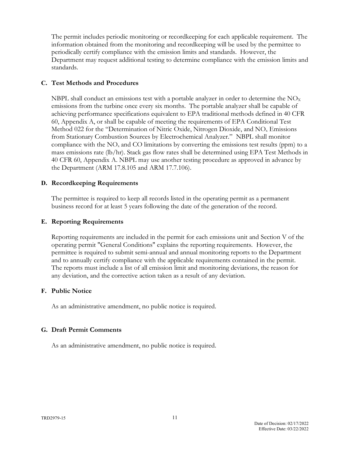The permit includes periodic monitoring or recordkeeping for each applicable requirement. The information obtained from the monitoring and recordkeeping will be used by the permittee to periodically certify compliance with the emission limits and standards. However, the Department may request additional testing to determine compliance with the emission limits and standards.

# **C. Test Methods and Procedures**

NBPL shall conduct an emissions test with a portable analyzer in order to determine the  $NO<sub>x</sub>$ emissions from the turbine once every six months. The portable analyzer shall be capable of achieving performance specifications equivalent to EPA traditional methods defined in 40 CFR 60, Appendix A, or shall be capable of meeting the requirements of EPA Conditional Test Method 022 for the "Determination of Nitric Oxide, Nitrogen Dioxide, and  $NO<sub>x</sub>$  Emissions from Stationary Combustion Sources by Electrochemical Analyzer." NBPL shall monitor compliance with the  $NO<sub>x</sub>$  and CO limitations by converting the emissions test results (ppm) to a mass emissions rate (lb/hr). Stack gas flow rates shall be determined using EPA Test Methods in 40 CFR 60, Appendix A. NBPL may use another testing procedure as approved in advance by the Department (ARM 17.8.105 and ARM 17.7.106).

# **D. Recordkeeping Requirements**

The permittee is required to keep all records listed in the operating permit as a permanent business record for at least 5 years following the date of the generation of the record.

#### **E. Reporting Requirements**

Reporting requirements are included in the permit for each emissions unit and Section V of the operating permit "General Conditions" explains the reporting requirements. However, the permittee is required to submit semi-annual and annual monitoring reports to the Department and to annually certify compliance with the applicable requirements contained in the permit. The reports must include a list of all emission limit and monitoring deviations, the reason for any deviation, and the corrective action taken as a result of any deviation.

# **F. Public Notice**

As an administrative amendment, no public notice is required.

# **G. Draft Permit Comments**

As an administrative amendment, no public notice is required.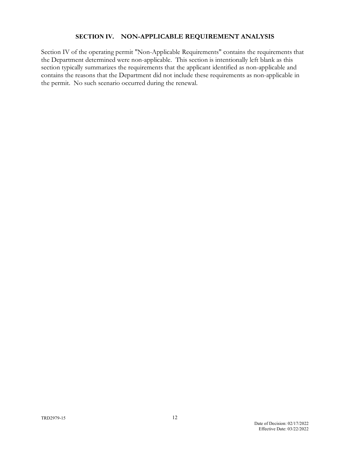#### **SECTION IV. NON-APPLICABLE REQUIREMENT ANALYSIS**

Section IV of the operating permit "Non-Applicable Requirements" contains the requirements that the Department determined were non-applicable. This section is intentionally left blank as this section typically summarizes the requirements that the applicant identified as non-applicable and contains the reasons that the Department did not include these requirements as non-applicable in the permit. No such scenario occurred during the renewal.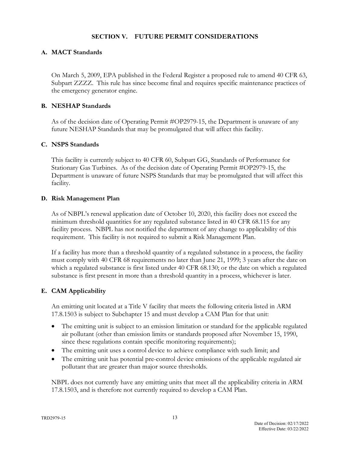### **SECTION V. FUTURE PERMIT CONSIDERATIONS**

### **A. MACT Standards**

On March 5, 2009, EPA published in the Federal Register a proposed rule to amend 40 CFR 63, Subpart ZZZZ. This rule has since become final and requires specific maintenance practices of the emergency generator engine.

#### **B. NESHAP Standards**

As of the decision date of Operating Permit #OP2979-15, the Department is unaware of any future NESHAP Standards that may be promulgated that will affect this facility.

#### **C. NSPS Standards**

This facility is currently subject to 40 CFR 60, Subpart GG, Standards of Performance for Stationary Gas Turbines. As of the decision date of Operating Permit #OP2979-15, the Department is unaware of future NSPS Standards that may be promulgated that will affect this facility.

#### **D. Risk Management Plan**

As of NBPL's renewal application date of October 10, 2020, this facility does not exceed the minimum threshold quantities for any regulated substance listed in 40 CFR 68.115 for any facility process. NBPL has not notified the department of any change to applicability of this requirement. This facility is not required to submit a Risk Management Plan.

If a facility has more than a threshold quantity of a regulated substance in a process, the facility must comply with 40 CFR 68 requirements no later than June 21, 1999; 3 years after the date on which a regulated substance is first listed under 40 CFR 68.130; or the date on which a regulated substance is first present in more than a threshold quantity in a process, whichever is later.

# **E. CAM Applicability**

An emitting unit located at a Title V facility that meets the following criteria listed in ARM 17.8.1503 is subject to Subchapter 15 and must develop a CAM Plan for that unit:

- The emitting unit is subject to an emission limitation or standard for the applicable regulated air pollutant (other than emission limits or standards proposed after November 15, 1990, since these regulations contain specific monitoring requirements);
- The emitting unit uses a control device to achieve compliance with such limit; and
- The emitting unit has potential pre-control device emissions of the applicable regulated air pollutant that are greater than major source thresholds.

NBPL does not currently have any emitting units that meet all the applicability criteria in ARM 17.8.1503, and is therefore not currently required to develop a CAM Plan.